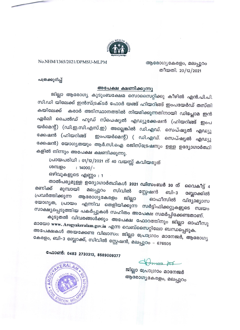

### No.NHM/1365/2021/DPMSU-MLPM

ആരോഗ്യകേരളം, മലപ്പുറം തീയതി. 20/12/2021

പത്രക്കുറിപ്പ്

#### അപേക്ഷ ക്ഷണിക്കുന്നു

ജില്ലാ ആരോഗ്യ കുടുംബക്ഷേമ സൊസൈറ്റിക്കു കീഴിൽ എൻ.പി.പി. സി.ഡി യിലേക്ക് ഇൻസ്ട്രക്ടർ ഫോർ യങ്ങ് ഹിയറിങ്ങ് ഇംപയേർഡ് തസ്തി കയിലേക്ക് കരാർ അടിസ്ഥാനത്തിൽ നിയമിക്കുന്നതിനായി ഡ<mark>ിപ്ലോമ</mark> ഇൻ ഏർലി ചൈൽഡ് ഹുഡ് സ്പെഷ്യൽ എഡ്യുക്കേഷൻ (ഹിയറിങ്ങ് ഇംപ യർമെന്റ്) (ഡി.ഇ.സി.എസ്.ഇ) അല്ലെങ്കിൽ ഡി.എഡ്. സെപ്ഷ്യൽ എഡ്യു ക്കേഷൻ (ഹിയറിങ്ങ് ഇംപയർമെന്റ്) ( ഡി.എഡ്. സെപ്ഷ്യൽ എഡ്യു ക്കേഷൻ) യോഗ്യതയും ആർ.സി.ഐ രജിസ്ട്രേഷനും ഉള്ള ഉദ്യോഗാർത്ഥി കളിൽ നിന്നും അപേക്ഷ ക്ഷണിക്കുന്നു.

പ്രായപരിധി : 01/12/2021 ന് 40 വയസ്സ് കവിയരുത്

ശമ്പളം  $: 14000/-$ 

ഒഴിവുകളുടെ എണ്ണം : 1

താൽപര്യമുള്ള ഉദ്യോഗാർത്ഥികൾ 2021 ഡിസംബർ 30 ന് വൈകീട്ട് 4 മണിക്ക് മലപ്പുറം മുമ്പായി സിവിൽ സ്റ്റേഷൻ ബി–3 ബ്ലോക്കിൽ പ്രവർത്തിക്കുന്ന ആരോഗ്യകേരളം ജില്ലാ ഓഫീസിൽ വിദ്യാഭ്യാസ യോഗ്യത, പ്രായം എന്നിവ തെളിയിക്കുന്ന സർട്ടിഫിക്കറ്റുകളുടെ സ്വയം സാക്ഷ്യപ്പെടുത്തിയ പകർപ്പുകൾ സഹിതം അപേക്ഷ സമർപ്പിക്കേണ്ടതാണ്.

കൂടുതൽ വിവരങ്ങൾക്കും അപേക്ഷ ഫോറത്തിനും ജില്ലാ ഓഫീസു മായോ www. Arogyakeralam.gov.in എന്ന വെബ്സൈറ്റിലോ ബന്ധപ്പെടുക. അപേക്ഷകൾ അയക്കേണ്ട വിലാസം: ജില്ലാ പ്രോഗ്രാം മാനേജർ, ആരോഗ്യ കേരളം, ബി-3 ബ്ലോക്ക്, സിവിൽ സ്റ്റേഷൻ, മലപ്പുറം - 676505

ഫോൺ: 0483 2730313, 8589009377

**PACK** 

ജില്ലാ പ്രോഗ്രാം മാനേജർ ആരോഗ്യകേരളം, മലപ്പുറം

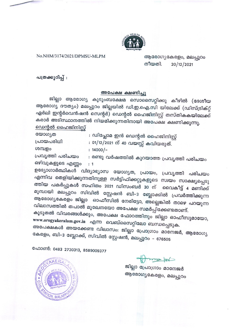

No.NHM/3174/2021/DPMSU-MLPM

ആരോഗ്യകേരളം, മലപ്പുറം തീയതി. 20/12/2021

പത്രക്കുറിപ്പ് :

### അപേക്ഷ ക്ഷണിച്ചു

ജില്ലാ ആരോഗ്യ കുടുംബക്ഷേമ സൊസൈറ്റിക്കു കീഴിൽ (ദേശീയ ആരോഗ്യ ദൗത്യം) മലപ്പുറം ജില്ലയിൽ ഡി.ഇ.ഐ.സി യിലേക്ക് (ഡിസ്ട്രിക്റ്റ് ഏർലി ഇന്റർവെൻഷൻ സെന്റർ) ഡെന്റൽ ഹൈജിനിസ്റ്റ് തസ്തികകയിലേക്ക് കരാർ അടിസ്ഥാനത്തിൽ നിയമിക്കുന്നതിനായി അപേക്ഷ ക്ഷണിക്കുന്നു. <u>ഡെന്റൽ ഹൈജിനിസ്റ്റ്</u>

| യോഗ്യത           | : ഡിപ്ലോമ ഇൻ ഡെന്റൽ ഹൈജിനിസ്റ്റ്           |
|------------------|--------------------------------------------|
| പ്രായപരിധി       | : 01/12/2021 ന് 40 വയസ്സ് കവിയരുത്.        |
| ശമ്പളം           | $: 14000/-$                                |
| പ്രവൃത്തി പരിചയം | : രണ്ടു വർഷത്തിൽ കുറയാത്ത പ്രവൃത്തി പരിചയം |

ഒഴിവുകളുടെ എണ്ണം : 1

ഉദ്യോഗാർത്ഥികൾ വിദ്യാഭ്യാസ യോഗ്യത, പ്രായം, പ്രവൃത്തി പരിചയം എന്നിവ തെളിയിക്കുന്നതിനുള്ള സർട്ടിഫിക്കറ്റുകളുടെ സ്വയം സാക്ഷ്യപ്പെടു ത്തിയ പകർപ്പുകൾ സഹിതം 2021 ഡിസംബർ 30 ന് വൈകീട്ട് 4 മണിക്ക് മുമ്പായി മലപ്പുറം സിവിൽ സ്റ്റേഷൻ ബി-3 ബ്ലോക്കിൽ പ്രവർത്തിക്കുന്ന ആരോഗ്യകേരളം ജില്ലാ ഓഫീസിൽ നേരിട്ടോ, അല്ലെങ്കിൽ താഴെ പറയുന്ന വിലാസത്തിൽ തപാൽ മുഖേനയോ അപേക്ഷ സമർപ്പിക്കേണ്ടതാണ്.

കൂടുതൽ വിവരങ്ങൾക്കും, അപേക്ഷ ഫോറത്തിനും ജില്ലാ ഓഫീസുമായോ, www.arogyakeralam.gov.in എന്ന വെബ്സൈറ്റിലോ ബന്ധപ്പെടുക.

അപേക്ഷകൾ അയക്കേണ്ട വിലാസം: ജില്ലാ പ്രോഗ്രാം മാനേജർ, ആരോഗ്യ കേരളം, ബി-3 ബ്ലോക്ക്, സിവിൽ സ്റ്റേഷൻ, മലപ്പുറം - 676505

ഫോൺ: 0483 2730313, 8589009377

ആരോഗ്യകേരളം, മലപ്പുറം